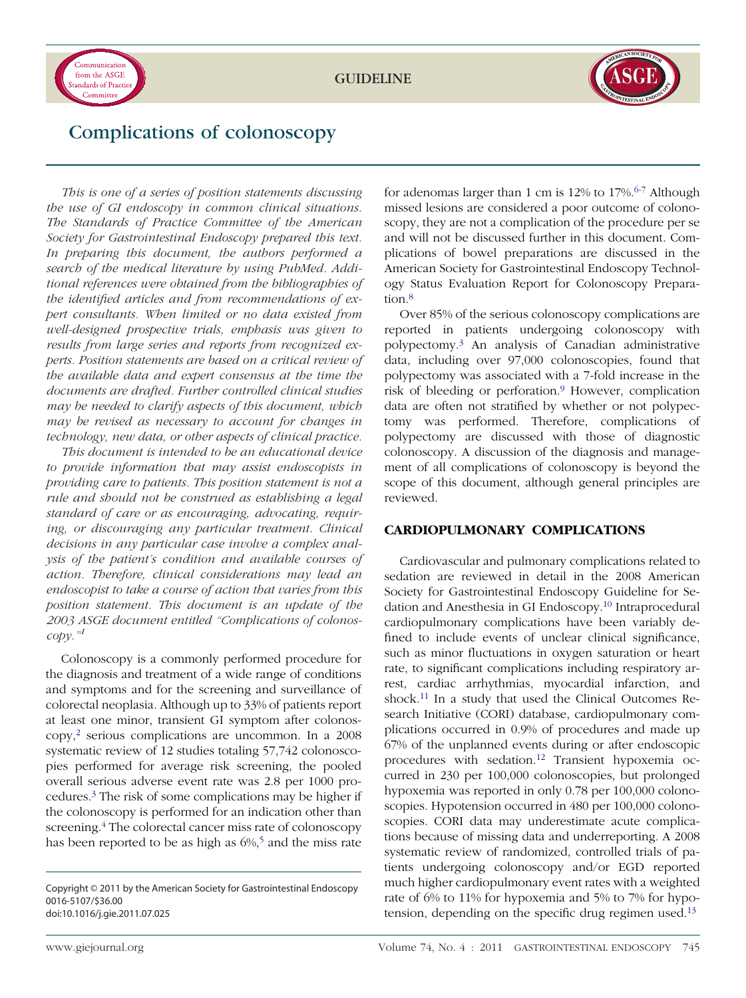



# Complications of colonoscopy

*This is one of a series of position statements discussing the use of GI endoscopy in common clinical situations. The Standards of Practice Committee of the American Society for Gastrointestinal Endoscopy prepared this text. In preparing this document, the authors performed a search of the medical literature by using PubMed. Additional references were obtained from the bibliographies of the identified articles and from recommendations of expert consultants. When limited or no data existed from well-designed prospective trials, emphasis was given to results from large series and reports from recognized experts. Position statements are based on a critical review of the available data and expert consensus at the time the documents are drafted. Further controlled clinical studies may be needed to clarify aspects of this document, which may be revised as necessary to account for changes in technology, new data, or other aspects of clinical practice.*

*This document is intended to be an educational device to provide information that may assist endoscopists in providing care to patients. This position statement is not a rule and should not be construed as establishing a legal standard of care or as encouraging, advocating, requiring, or discouraging any particular treatment. Clinical decisions in any particular case involve a complex analysis of the patient's condition and available courses of action. Therefore, clinical considerations may lead an endoscopist to take a course of action that varies from this position statement. This document is an update of the 2003 ASGE document entitled "Complications of colonos-* $\mathcal{C}$ *copy.*"<sup>[1](#page-4-0)</sup>

Colonoscopy is a commonly performed procedure for the diagnosis and treatment of a wide range of conditions and symptoms and for the screening and surveillance of colorectal neoplasia. Although up to 33% of patients report at least one minor, transient GI symptom after colonoscopy[,2](#page-4-1) serious complications are uncommon. In a 2008 systematic review of 12 studies totaling 57,742 colonoscopies performed for average risk screening, the pooled overall serious adverse event rate was 2.8 per 1000 procedures[.3](#page-4-2) The risk of some complications may be higher if the colonoscopy is performed for an indication other than screening.<sup>4</sup> The colorectal cancer miss rate of colonoscopy has been reported to be as high as  $6\%,$ <sup>5</sup> and the miss rate for adenomas larger than 1 cm is  $12\%$  to  $17\%$ .<sup>6-7</sup> Although missed lesions are considered a poor outcome of colonoscopy, they are not a complication of the procedure per se and will not be discussed further in this document. Complications of bowel preparations are discussed in the American Society for Gastrointestinal Endoscopy Technology Status Evaluation Report for Colonoscopy Preparation[.8](#page-4-6)

Over 85% of the serious colonoscopy complications are reported in patients undergoing colonoscopy with polypectomy[.3](#page-4-2) An analysis of Canadian administrative data, including over 97,000 colonoscopies, found that polypectomy was associated with a 7-fold increase in the risk of bleeding or perforation.<sup>9</sup> However, complication data are often not stratified by whether or not polypectomy was performed. Therefore, complications of polypectomy are discussed with those of diagnostic colonoscopy. A discussion of the diagnosis and management of all complications of colonoscopy is beyond the scope of this document, although general principles are reviewed.

#### **CARDIOPULMONARY COMPLICATIONS**

Cardiovascular and pulmonary complications related to sedation are reviewed in detail in the 2008 American Society for Gastrointestinal Endoscopy Guideline for Sedation and Anesthesia in GI Endoscopy[.10](#page-4-8) Intraprocedural cardiopulmonary complications have been variably defined to include events of unclear clinical significance, such as minor fluctuations in oxygen saturation or heart rate, to significant complications including respiratory arrest, cardiac arrhythmias, myocardial infarction, and shock[.11](#page-4-9) In a study that used the Clinical Outcomes Research Initiative (CORI) database, cardiopulmonary complications occurred in 0.9% of procedures and made up 67% of the unplanned events during or after endoscopic procedures with sedation[.12](#page-4-10) Transient hypoxemia occurred in 230 per 100,000 colonoscopies, but prolonged hypoxemia was reported in only 0.78 per 100,000 colonoscopies. Hypotension occurred in 480 per 100,000 colonoscopies. CORI data may underestimate acute complications because of missing data and underreporting. A 2008 systematic review of randomized, controlled trials of patients undergoing colonoscopy and/or EGD reported much higher cardiopulmonary event rates with a weighted rate of 6% to 11% for hypoxemia and 5% to 7% for hypotension, depending on the specific drug regimen used[.13](#page-4-11)

Copyright © 2011 by the American Society for Gastrointestinal Endoscopy 0016-5107/\$36.00 doi:10.1016/j.gie.2011.07.025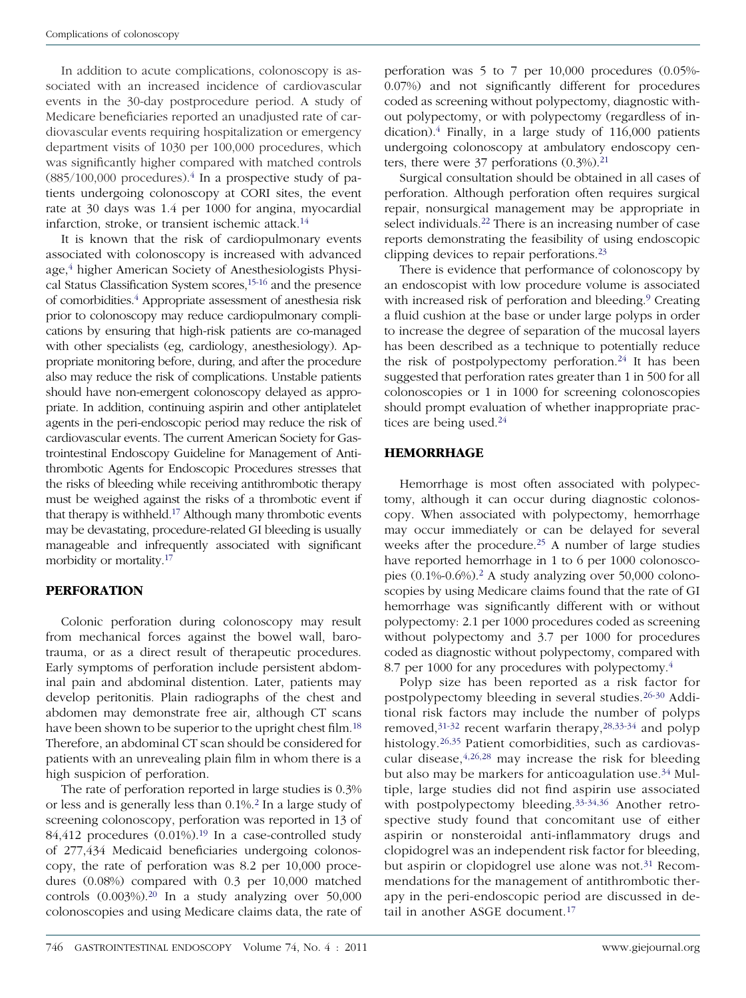In addition to acute complications, colonoscopy is associated with an increased incidence of cardiovascular events in the 30-day postprocedure period. A study of Medicare beneficiaries reported an unadjusted rate of cardiovascular events requiring hospitalization or emergency department visits of 1030 per 100,000 procedures, which was significantly higher compared with matched controls  $(885/100,000$  procedures).<sup>4</sup> In a prospective study of patients undergoing colonoscopy at CORI sites, the event rate at 30 days was 1.4 per 1000 for angina, myocardial infarction, stroke, or transient ischemic attack[.14](#page-4-12)

It is known that the risk of cardiopulmonary events associated with colonoscopy is increased with advanced age,<sup>4</sup> higher American Society of Anesthesiologists Physical Status Classification System scores[,15-16](#page-4-13) and the presence of comorbidities[.4](#page-4-3) Appropriate assessment of anesthesia risk prior to colonoscopy may reduce cardiopulmonary complications by ensuring that high-risk patients are co-managed with other specialists (eg, cardiology, anesthesiology). Appropriate monitoring before, during, and after the procedure also may reduce the risk of complications. Unstable patients should have non-emergent colonoscopy delayed as appropriate. In addition, continuing aspirin and other antiplatelet agents in the peri-endoscopic period may reduce the risk of cardiovascular events. The current American Society for Gastrointestinal Endoscopy Guideline for Management of Antithrombotic Agents for Endoscopic Procedures stresses that the risks of bleeding while receiving antithrombotic therapy must be weighed against the risks of a thrombotic event if that therapy is withheld[.17](#page-4-14) Although many thrombotic events may be devastating, procedure-related GI bleeding is usually manageable and infrequently associated with significant morbidity or mortality[.17](#page-4-14)

# **PERFORATION**

Colonic perforation during colonoscopy may result from mechanical forces against the bowel wall, barotrauma, or as a direct result of therapeutic procedures. Early symptoms of perforation include persistent abdominal pain and abdominal distention. Later, patients may develop peritonitis. Plain radiographs of the chest and abdomen may demonstrate free air, although CT scans have been shown to be superior to the upright chest film.<sup>18</sup> Therefore, an abdominal CT scan should be considered for patients with an unrevealing plain film in whom there is a high suspicion of perforation.

The rate of perforation reported in large studies is 0.3% or less and is generally less than 0.1%[.2](#page-4-1) In a large study of screening colonoscopy, perforation was reported in 13 of 84,412 procedures  $(0.01\%)$ .<sup>19</sup> In a case-controlled study of 277,434 Medicaid beneficiaries undergoing colonoscopy, the rate of perforation was 8.2 per 10,000 procedures (0.08%) compared with 0.3 per 10,000 matched controls  $(0.003\%)$ .<sup>20</sup> In a study analyzing over 50,000 colonoscopies and using Medicare claims data, the rate of

perforation was 5 to 7 per 10,000 procedures (0.05%- 0.07%) and not significantly different for procedures coded as screening without polypectomy, diagnostic without polypectomy, or with polypectomy (regardless of indication).<sup>4</sup> Finally, in a large study of  $116,000$  patients undergoing colonoscopy at ambulatory endoscopy centers, there were  $37$  perforations  $(0.3\%)$ .<sup>21</sup>

Surgical consultation should be obtained in all cases of perforation. Although perforation often requires surgical repair, nonsurgical management may be appropriate in select individuals.<sup>22</sup> There is an increasing number of case reports demonstrating the feasibility of using endoscopic clipping devices to repair perforations[.23](#page-5-4)

There is evidence that performance of colonoscopy by an endoscopist with low procedure volume is associated with increased risk of perforation and bleeding.<sup>9</sup> Creating a fluid cushion at the base or under large polyps in order to increase the degree of separation of the mucosal layers has been described as a technique to potentially reduce the risk of postpolypectomy perforation.<sup>24</sup> It has been suggested that perforation rates greater than 1 in 500 for all colonoscopies or 1 in 1000 for screening colonoscopies should prompt evaluation of whether inappropriate practices are being used[.24](#page-5-5)

### **HEMORRHAGE**

Hemorrhage is most often associated with polypectomy, although it can occur during diagnostic colonoscopy. When associated with polypectomy, hemorrhage may occur immediately or can be delayed for several weeks after the procedure.<sup>25</sup> A number of large studies have reported hemorrhage in 1 to 6 per 1000 colonoscopies (0.1%-0.6%)[.2](#page-4-1) A study analyzing over 50,000 colonoscopies by using Medicare claims found that the rate of GI hemorrhage was significantly different with or without polypectomy: 2.1 per 1000 procedures coded as screening without polypectomy and 3.7 per 1000 for procedures coded as diagnostic without polypectomy, compared with 8.7 per 1000 for any procedures with polypectomy[.4](#page-4-3)

Polyp size has been reported as a risk factor for postpolypectomy bleeding in several studies[.26-30](#page-5-7) Additional risk factors may include the number of polyps removed, $3^{1-32}$  recent warfarin therapy, $28,33-34$  and polyp histology[.26,35](#page-5-7) Patient comorbidities, such as cardiovascular disease, $4,26,28$  may increase the risk for bleeding but also may be markers for anticoagulation use[.34](#page-5-10) Multiple, large studies did not find aspirin use associated with postpolypectomy bleeding.<sup>33-34,36</sup> Another retrospective study found that concomitant use of either aspirin or nonsteroidal anti-inflammatory drugs and clopidogrel was an independent risk factor for bleeding, but aspirin or clopidogrel use alone was not.<sup>31</sup> Recommendations for the management of antithrombotic therapy in the peri-endoscopic period are discussed in detail in another ASGE document.<sup>17</sup>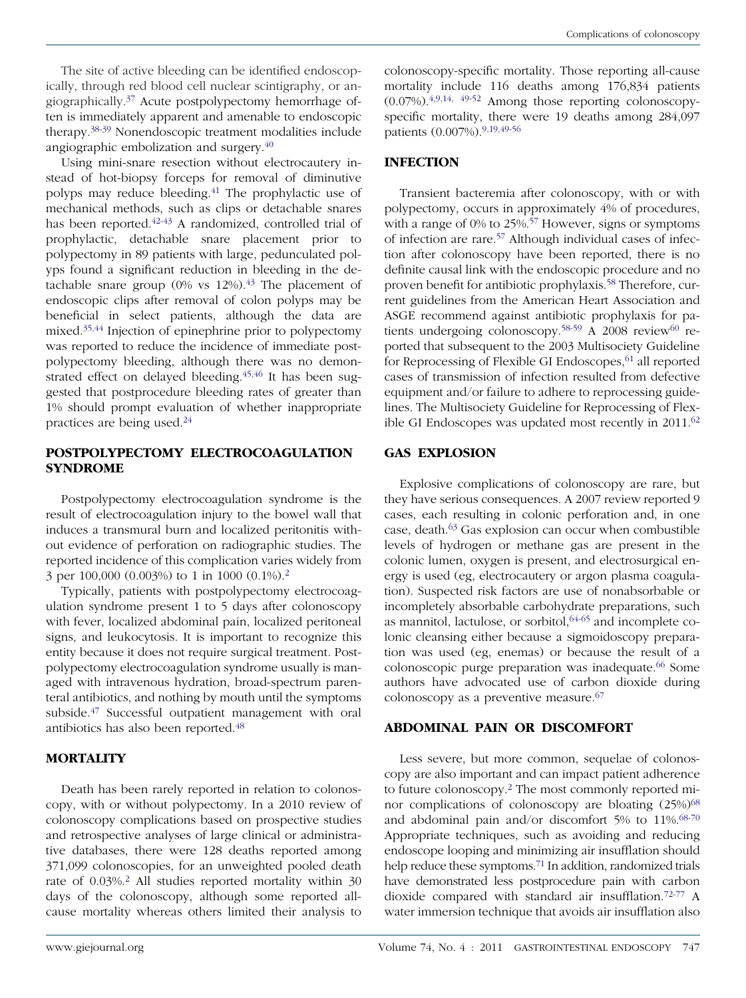The site of active bleeding can be identified endoscopically, through red blood cell nuclear scintigraphy, or angiographically[.37](#page-5-12) Acute postpolypectomy hemorrhage often is immediately apparent and amenable to endoscopic therapy[.38-39](#page-5-13) Nonendoscopic treatment modalities include angiographic embolization and surgery[.40](#page-5-14)

Using mini-snare resection without electrocautery instead of hot-biopsy forceps for removal of diminutive polyps may reduce bleeding[.41](#page-5-15) The prophylactic use of mechanical methods, such as clips or detachable snares has been reported.<sup>42-43</sup> A randomized, controlled trial of prophylactic, detachable snare placement prior to polypectomy in 89 patients with large, pedunculated polyps found a significant reduction in bleeding in the detachable snare group  $(0\% \text{ vs } 12\%)$ .<sup>43</sup> The placement of endoscopic clips after removal of colon polyps may be beneficial in select patients, although the data are mixed[.35,44](#page-5-18) Injection of epinephrine prior to polypectomy was reported to reduce the incidence of immediate postpolypectomy bleeding, although there was no demonstrated effect on delayed bleeding.<sup>45,46</sup> It has been suggested that postprocedure bleeding rates of greater than 1% should prompt evaluation of whether inappropriate practices are being used[.24](#page-5-5)

#### **POSTPOLYPECTOMY ELECTROCOAGULATION SYNDROME**

Postpolypectomy electrocoagulation syndrome is the result of electrocoagulation injury to the bowel wall that induces a transmural burn and localized peritonitis without evidence of perforation on radiographic studies. The reported incidence of this complication varies widely from 3 per 100,000 (0.003%) to 1 in 1000 (0.1%)[.2](#page-4-1)

Typically, patients with postpolypectomy electrocoagulation syndrome present 1 to 5 days after colonoscopy with fever, localized abdominal pain, localized peritoneal signs, and leukocytosis. It is important to recognize this entity because it does not require surgical treatment. Postpolypectomy electrocoagulation syndrome usually is managed with intravenous hydration, broad-spectrum parenteral antibiotics, and nothing by mouth until the symptoms subside.<sup>47</sup> Successful outpatient management with oral antibiotics has also been reported[.48](#page-5-21)

#### **MORTALITY**

Death has been rarely reported in relation to colonoscopy, with or without polypectomy. In a 2010 review of colonoscopy complications based on prospective studies and retrospective analyses of large clinical or administrative databases, there were 128 deaths reported among 371,099 colonoscopies, for an unweighted pooled death rate of 0.03%.<sup>2</sup> All studies reported mortality within 30 days of the colonoscopy, although some reported allcause mortality whereas others limited their analysis to

colonoscopy-specific mortality. Those reporting all-cause mortality include 116 deaths among 176,834 patients  $(0.07\%)$ .<sup>4,9,14, 49-52</sup> Among those reporting colonoscopyspecific mortality, there were 19 deaths among 284,097 patients (0.007%).<sup>9,19,49-56</sup>

# **INFECTION**

Transient bacteremia after colonoscopy, with or with polypectomy, occurs in approximately 4% of procedures, with a range of 0% to 25%.<sup>57</sup> However, signs or symptoms of infection are rare[.57](#page-5-22) Although individual cases of infection after colonoscopy have been reported, there is no definite causal link with the endoscopic procedure and no proven benefit for antibiotic prophylaxis[.58](#page-5-23) Therefore, current guidelines from the American Heart Association and ASGE recommend against antibiotic prophylaxis for patients undergoing colonoscopy.<sup>58-59</sup> A 2008 review<sup>60</sup> reported that subsequent to the 2003 Multisociety Guideline for Reprocessing of Flexible GI Endoscopes,  $61$  all reported cases of transmission of infection resulted from defective equipment and/or failure to adhere to reprocessing guidelines. The Multisociety Guideline for Reprocessing of Flexible GI Endoscopes was updated most recently in 2011.<sup>62</sup>

### **GAS EXPLOSION**

Explosive complications of colonoscopy are rare, but they have serious consequences. A 2007 review reported 9 cases, each resulting in colonic perforation and, in one case, death[.63](#page-5-27) Gas explosion can occur when combustible levels of hydrogen or methane gas are present in the colonic lumen, oxygen is present, and electrosurgical energy is used (eg, electrocautery or argon plasma coagulation). Suspected risk factors are use of nonabsorbable or incompletely absorbable carbohydrate preparations, such as mannitol, lactulose, or sorbitol, <sup>64-65</sup> and incomplete colonic cleansing either because a sigmoidoscopy preparation was used (eg, enemas) or because the result of a colonoscopic purge preparation was inadequate.<sup>66</sup> Some authors have advocated use of carbon dioxide during colonoscopy as a preventive measure.<sup>67</sup>

#### **ABDOMINAL PAIN OR DISCOMFORT**

Less severe, but more common, sequelae of colonoscopy are also important and can impact patient adherence to future colonoscopy[.2](#page-4-1) The most commonly reported minor complications of colonoscopy are bloating  $(25%)^{68}$ and abdominal pain and/or discomfort 5% to  $11\%$ . <sup>68-70</sup> Appropriate techniques, such as avoiding and reducing endoscope looping and minimizing air insufflation should help reduce these symptoms.<sup>71</sup> In addition, randomized trials have demonstrated less postprocedure pain with carbon dioxide compared with standard air insufflation[.72-77](#page-6-3) A water immersion technique that avoids air insufflation also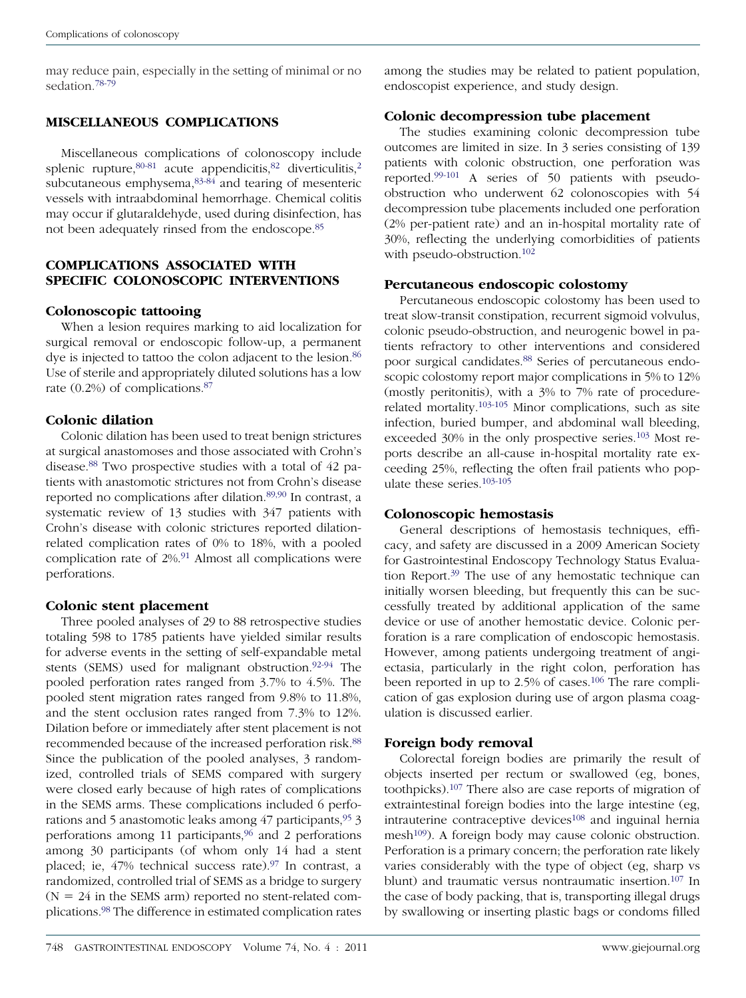may reduce pain, especially in the setting of minimal or no sedation[.78-79](#page-6-4)

## **MISCELLANEOUS COMPLICATIONS**

Miscellaneous complications of colonoscopy include splenic rupture,  $80-81$  acute appendicitis,  $82$  diverticulitis, 2 subcutaneous emphysema,  $83-84$  and tearing of mesenteric vessels with intraabdominal hemorrhage. Chemical colitis may occur if glutaraldehyde, used during disinfection, has not been adequately rinsed from the endoscope[.85](#page-6-8)

#### **COMPLICATIONS ASSOCIATED WITH SPECIFIC COLONOSCOPIC INTERVENTIONS**

### **Colonoscopic tattooing**

When a lesion requires marking to aid localization for surgical removal or endoscopic follow-up, a permanent dye is injected to tattoo the colon adjacent to the lesion.<sup>86</sup> Use of sterile and appropriately diluted solutions has a low rate (0.2%) of complications[.87](#page-6-10)

# **Colonic dilation**

Colonic dilation has been used to treat benign strictures at surgical anastomoses and those associated with Crohn's disease[.88](#page-6-11) Two prospective studies with a total of 42 patients with anastomotic strictures not from Crohn's disease reported no complications after dilation[.89,90](#page-6-12) In contrast, a systematic review of 13 studies with 347 patients with Crohn's disease with colonic strictures reported dilationrelated complication rates of 0% to 18%, with a pooled complication rate of 2%[.91](#page-6-13) Almost all complications were perforations.

# **Colonic stent placement**

Three pooled analyses of 29 to 88 retrospective studies totaling 598 to 1785 patients have yielded similar results for adverse events in the setting of self-expandable metal stents (SEMS) used for malignant obstruction.<sup>92-94</sup> The pooled perforation rates ranged from 3.7% to 4.5%. The pooled stent migration rates ranged from 9.8% to 11.8%, and the stent occlusion rates ranged from 7.3% to 12%. Dilation before or immediately after stent placement is not recommended because of the increased perforation risk[.88](#page-6-11) Since the publication of the pooled analyses, 3 randomized, controlled trials of SEMS compared with surgery were closed early because of high rates of complications in the SEMS arms. These complications included 6 perforations and 5 anastomotic leaks among 47 participants, <sup>95</sup> 3 perforations among 11 participants,  $96$  and 2 perforations among 30 participants (of whom only 14 had a stent placed; ie, 47% technical success rate)[.97](#page-6-17) In contrast, a randomized, controlled trial of SEMS as a bridge to surgery  $(N = 24$  in the SEMS arm) reported no stent-related complications[.98](#page-6-18) The difference in estimated complication rates among the studies may be related to patient population, endoscopist experience, and study design.

# **Colonic decompression tube placement**

The studies examining colonic decompression tube outcomes are limited in size. In 3 series consisting of 139 patients with colonic obstruction, one perforation was reported[.99-101](#page-6-19) A series of 50 patients with pseudoobstruction who underwent 62 colonoscopies with 54 decompression tube placements included one perforation (2% per-patient rate) and an in-hospital mortality rate of 30%, reflecting the underlying comorbidities of patients with pseudo-obstruction.<sup>102</sup>

### **Percutaneous endoscopic colostomy**

Percutaneous endoscopic colostomy has been used to treat slow-transit constipation, recurrent sigmoid volvulus, colonic pseudo-obstruction, and neurogenic bowel in patients refractory to other interventions and considered poor surgical candidates.<sup>88</sup> Series of percutaneous endoscopic colostomy report major complications in 5% to 12% (mostly peritonitis), with a 3% to 7% rate of procedurerelated mortality[.103-105](#page-6-21) Minor complications, such as site infection, buried bumper, and abdominal wall bleeding, exceeded 30% in the only prospective series[.103](#page-6-21) Most reports describe an all-cause in-hospital mortality rate exceeding 25%, reflecting the often frail patients who populate these series[.103-105](#page-6-21)

# **Colonoscopic hemostasis**

General descriptions of hemostasis techniques, efficacy, and safety are discussed in a 2009 American Society for Gastrointestinal Endoscopy Technology Status Evaluation Report.<sup>39</sup> The use of any hemostatic technique can initially worsen bleeding, but frequently this can be successfully treated by additional application of the same device or use of another hemostatic device. Colonic perforation is a rare complication of endoscopic hemostasis. However, among patients undergoing treatment of angiectasia, particularly in the right colon, perforation has been reported in up to 2.5% of cases.<sup>106</sup> The rare complication of gas explosion during use of argon plasma coagulation is discussed earlier.

# **Foreign body removal**

Colorectal foreign bodies are primarily the result of objects inserted per rectum or swallowed (eg, bones, toothpicks)[.107](#page-6-23) There also are case reports of migration of extraintestinal foreign bodies into the large intestine (eg, intrauterine contraceptive devices<sup>108</sup> and inguinal hernia mesh<sup>109</sup>). A foreign body may cause colonic obstruction. Perforation is a primary concern; the perforation rate likely varies considerably with the type of object (eg, sharp vs blunt) and traumatic versus nontraumatic insertion[.107](#page-6-23) In the case of body packing, that is, transporting illegal drugs by swallowing or inserting plastic bags or condoms filled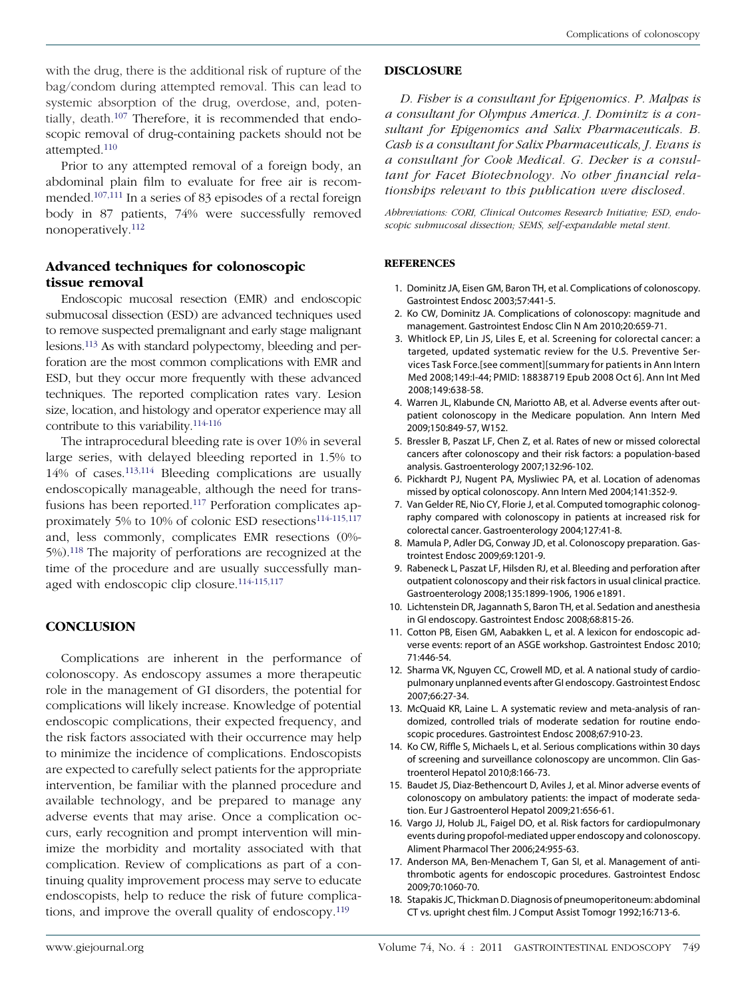with the drug, there is the additional risk of rupture of the bag/condom during attempted removal. This can lead to systemic absorption of the drug, overdose, and, potentially, death[.107](#page-6-23) Therefore, it is recommended that endoscopic removal of drug-containing packets should not be attempted[.110](#page-6-26)

Prior to any attempted removal of a foreign body, an abdominal plain film to evaluate for free air is recommended[.107,111](#page-6-23) In a series of 83 episodes of a rectal foreign body in 87 patients, 74% were successfully removed nonoperatively[.112](#page-6-27)

# **Advanced techniques for colonoscopic tissue removal**

Endoscopic mucosal resection (EMR) and endoscopic submucosal dissection (ESD) are advanced techniques used to remove suspected premalignant and early stage malignant lesions[.113](#page-6-28) As with standard polypectomy, bleeding and perforation are the most common complications with EMR and ESD, but they occur more frequently with these advanced techniques. The reported complication rates vary. Lesion size, location, and histology and operator experience may all contribute to this variability[.114-116](#page-7-0)

The intraprocedural bleeding rate is over 10% in several large series, with delayed bleeding reported in 1.5% to 14% of cases[.113,114](#page-6-28) Bleeding complications are usually endoscopically manageable, although the need for transfusions has been reported[.117](#page-7-1) Perforation complicates approximately 5% to 10% of colonic ESD resections<sup>114-115,117</sup> and, less commonly, complicates EMR resections (0%- 5%)[.118](#page-7-2) The majority of perforations are recognized at the time of the procedure and are usually successfully managed with endoscopic clip closure[.114-115,117](#page-7-0)

# **CONCLUSION**

Complications are inherent in the performance of colonoscopy. As endoscopy assumes a more therapeutic role in the management of GI disorders, the potential for complications will likely increase. Knowledge of potential endoscopic complications, their expected frequency, and the risk factors associated with their occurrence may help to minimize the incidence of complications. Endoscopists are expected to carefully select patients for the appropriate intervention, be familiar with the planned procedure and available technology, and be prepared to manage any adverse events that may arise. Once a complication occurs, early recognition and prompt intervention will minimize the morbidity and mortality associated with that complication. Review of complications as part of a continuing quality improvement process may serve to educate endoscopists, help to reduce the risk of future complications, and improve the overall quality of endoscopy[.119](#page-7-3)

#### **DISCLOSURE**

*D. Fisher is a consultant for Epigenomics. P. Malpas is a consultant for Olympus America. J. Dominitz is a consultant for Epigenomics and Salix Pharmaceuticals. B. Cash is a consultant for Salix Pharmaceuticals, J. Evans is a consultant for Cook Medical. G. Decker is a consultant for Facet Biotechnology. No other financial relationships relevant to this publication were disclosed.*

*Abbreviations: CORI, Clinical Outcomes Research Initiative; ESD, endoscopic submucosal dissection; SEMS, self-expandable metal stent.*

#### <span id="page-4-0"></span>**REFERENCES**

- <span id="page-4-1"></span>1. Dominitz JA, Eisen GM, Baron TH, et al. Complications of colonoscopy. Gastrointest Endosc 2003;57:441-5.
- <span id="page-4-2"></span>2. Ko CW, Dominitz JA. Complications of colonoscopy: magnitude and management. Gastrointest Endosc Clin N Am 2010;20:659-71.
- 3. Whitlock EP, Lin JS, Liles E, et al. Screening for colorectal cancer: a targeted, updated systematic review for the U.S. Preventive Services Task Force.[see comment][summary for patients in Ann Intern Med 2008;149:I-44; PMID: 18838719 Epub 2008 Oct 6]. Ann Int Med 2008;149:638-58.
- <span id="page-4-3"></span>4. Warren JL, Klabunde CN, Mariotto AB, et al. Adverse events after outpatient colonoscopy in the Medicare population. Ann Intern Med 2009;150:849-57, W152.
- <span id="page-4-4"></span>5. Bressler B, Paszat LF, Chen Z, et al. Rates of new or missed colorectal cancers after colonoscopy and their risk factors: a population-based analysis. Gastroenterology 2007;132:96-102.
- <span id="page-4-5"></span>6. Pickhardt PJ, Nugent PA, Mysliwiec PA, et al. Location of adenomas missed by optical colonoscopy. Ann Intern Med 2004;141:352-9.
- 7. Van Gelder RE, Nio CY, Florie J, et al. Computed tomographic colonography compared with colonoscopy in patients at increased risk for colorectal cancer. Gastroenterology 2004;127:41-8.
- <span id="page-4-7"></span><span id="page-4-6"></span>8. Mamula P, Adler DG, Conway JD, et al. Colonoscopy preparation. Gastrointest Endosc 2009;69:1201-9.
- 9. Rabeneck L, Paszat LF, Hilsden RJ, et al. Bleeding and perforation after outpatient colonoscopy and their risk factors in usual clinical practice. Gastroenterology 2008;135:1899-1906, 1906 e1891.
- <span id="page-4-9"></span><span id="page-4-8"></span>10. Lichtenstein DR, Jagannath S, Baron TH, et al. Sedation and anesthesia in GI endoscopy. Gastrointest Endosc 2008;68:815-26.
- 11. Cotton PB, Eisen GM, Aabakken L, et al. A lexicon for endoscopic adverse events: report of an ASGE workshop. Gastrointest Endosc 2010; 71:446-54.
- <span id="page-4-10"></span>12. Sharma VK, Nguyen CC, Crowell MD, et al. A national study of cardiopulmonary unplanned events after GI endoscopy. Gastrointest Endosc 2007;66:27-34.
- <span id="page-4-11"></span>13. McQuaid KR, Laine L. A systematic review and meta-analysis of randomized, controlled trials of moderate sedation for routine endoscopic procedures. Gastrointest Endosc 2008;67:910-23.
- <span id="page-4-12"></span>14. Ko CW, Riffle S, Michaels L, et al. Serious complications within 30 days of screening and surveillance colonoscopy are uncommon. Clin Gastroenterol Hepatol 2010;8:166-73.
- <span id="page-4-13"></span>15. Baudet JS, Diaz-Bethencourt D, Aviles J, et al. Minor adverse events of colonoscopy on ambulatory patients: the impact of moderate sedation. Eur J Gastroenterol Hepatol 2009;21:656-61.
- 16. Vargo JJ, Holub JL, Faigel DO, et al. Risk factors for cardiopulmonary events during propofol-mediated upper endoscopy and colonoscopy. Aliment Pharmacol Ther 2006;24:955-63.
- <span id="page-4-15"></span><span id="page-4-14"></span>17. Anderson MA, Ben-Menachem T, Gan SI, et al. Management of antithrombotic agents for endoscopic procedures. Gastrointest Endosc 2009;70:1060-70.
- 18. Stapakis JC, Thickman D. Diagnosis of pneumoperitoneum: abdominal CT vs. upright chest film. J Comput Assist Tomogr 1992;16:713-6.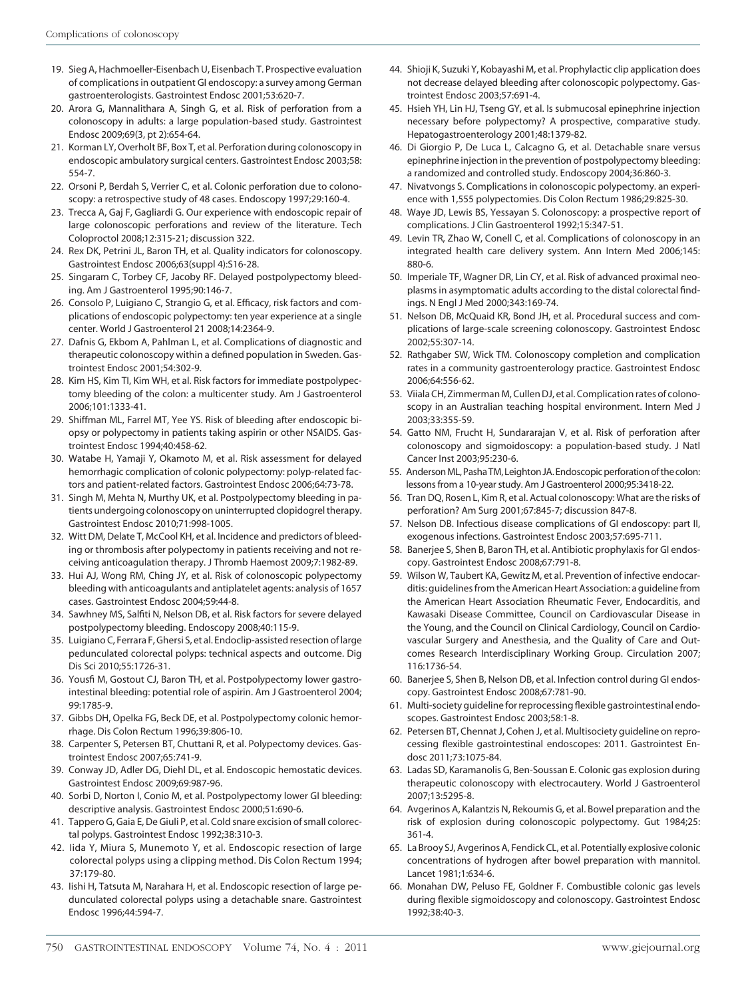- <span id="page-5-0"></span>19. Sieg A, Hachmoeller-Eisenbach U, Eisenbach T. Prospective evaluation of complications in outpatient GI endoscopy: a survey among German gastroenterologists. Gastrointest Endosc 2001;53:620-7.
- <span id="page-5-1"></span>20. Arora G, Mannalithara A, Singh G, et al. Risk of perforation from a colonoscopy in adults: a large population-based study. Gastrointest Endosc 2009;69(3, pt 2):654-64.
- <span id="page-5-2"></span>21. Korman LY, Overholt BF, Box T, et al. Perforation during colonoscopy in endoscopic ambulatory surgical centers. Gastrointest Endosc 2003;58: 554-7.
- <span id="page-5-4"></span><span id="page-5-3"></span>22. Orsoni P, Berdah S, Verrier C, et al. Colonic perforation due to colonoscopy: a retrospective study of 48 cases. Endoscopy 1997;29:160-4.
- 23. Trecca A, Gaj F, Gagliardi G. Our experience with endoscopic repair of large colonoscopic perforations and review of the literature. Tech Coloproctol 2008;12:315-21; discussion 322.
- <span id="page-5-6"></span><span id="page-5-5"></span>24. Rex DK, Petrini JL, Baron TH, et al. Quality indicators for colonoscopy. Gastrointest Endosc 2006;63(suppl 4):S16-28.
- <span id="page-5-7"></span>25. Singaram C, Torbey CF, Jacoby RF. Delayed postpolypectomy bleeding. Am J Gastroenterol 1995;90:146-7.
- 26. Consolo P, Luigiano C, Strangio G, et al. Efficacy, risk factors and complications of endoscopic polypectomy: ten year experience at a single center. World J Gastroenterol 21 2008;14:2364-9.
- 27. Dafnis G, Ekbom A, Pahlman L, et al. Complications of diagnostic and therapeutic colonoscopy within a defined population in Sweden. Gastrointest Endosc 2001;54:302-9.
- <span id="page-5-9"></span>28. Kim HS, Kim TI, Kim WH, et al. Risk factors for immediate postpolypectomy bleeding of the colon: a multicenter study. Am J Gastroenterol 2006;101:1333-41.
- 29. Shiffman ML, Farrel MT, Yee YS. Risk of bleeding after endoscopic biopsy or polypectomy in patients taking aspirin or other NSAIDS. Gastrointest Endosc 1994;40:458-62.
- 30. Watabe H, Yamaji Y, Okamoto M, et al. Risk assessment for delayed hemorrhagic complication of colonic polypectomy: polyp-related factors and patient-related factors. Gastrointest Endosc 2006;64:73-78.
- <span id="page-5-8"></span>31. Singh M, Mehta N, Murthy UK, et al. Postpolypectomy bleeding in patients undergoing colonoscopy on uninterrupted clopidogrel therapy. Gastrointest Endosc 2010;71:998-1005.
- 32. Witt DM, Delate T, McCool KH, et al. Incidence and predictors of bleeding or thrombosis after polypectomy in patients receiving and not receiving anticoagulation therapy. J Thromb Haemost 2009;7:1982-89.
- <span id="page-5-11"></span>33. Hui AJ, Wong RM, Ching JY, et al. Risk of colonoscopic polypectomy bleeding with anticoagulants and antiplatelet agents: analysis of 1657 cases. Gastrointest Endosc 2004;59:44-8.
- <span id="page-5-18"></span><span id="page-5-10"></span>34. Sawhney MS, Salfiti N, Nelson DB, et al. Risk factors for severe delayed postpolypectomy bleeding. Endoscopy 2008;40:115-9.
- 35. Luigiano C, Ferrara F, Ghersi S, et al. Endoclip-assisted resection of large pedunculated colorectal polyps: technical aspects and outcome. Dig Dis Sci 2010;55:1726-31.
- 36. Yousfi M, Gostout CJ, Baron TH, et al. Postpolypectomy lower gastrointestinal bleeding: potential role of aspirin. Am J Gastroenterol 2004; 99:1785-9.
- <span id="page-5-13"></span><span id="page-5-12"></span>37. Gibbs DH, Opelka FG, Beck DE, et al. Postpolypectomy colonic hemorrhage. Dis Colon Rectum 1996;39:806-10.
- <span id="page-5-30"></span>38. Carpenter S, Petersen BT, Chuttani R, et al. Polypectomy devices. Gastrointest Endosc 2007;65:741-9.
- <span id="page-5-14"></span>39. Conway JD, Adler DG, Diehl DL, et al. Endoscopic hemostatic devices. Gastrointest Endosc 2009;69:987-96.
- <span id="page-5-15"></span>40. Sorbi D, Norton I, Conio M, et al. Postpolypectomy lower GI bleeding: descriptive analysis. Gastrointest Endosc 2000;51:690-6.
- <span id="page-5-16"></span>41. Tappero G, Gaia E, De Giuli P, et al. Cold snare excision of small colorectal polyps. Gastrointest Endosc 1992;38:310-3.
- 42. Iida Y, Miura S, Munemoto Y, et al. Endoscopic resection of large colorectal polyps using a clipping method. Dis Colon Rectum 1994; 37:179-80.
- <span id="page-5-17"></span>43. Iishi H, Tatsuta M, Narahara H, et al. Endoscopic resection of large pedunculated colorectal polyps using a detachable snare. Gastrointest Endosc 1996;44:594-7.
- 44. Shioji K, Suzuki Y, Kobayashi M, et al. Prophylactic clip application does not decrease delayed bleeding after colonoscopic polypectomy. Gastrointest Endosc 2003;57:691-4.
- <span id="page-5-19"></span>45. Hsieh YH, Lin HJ, Tseng GY, et al. Is submucosal epinephrine injection necessary before polypectomy? A prospective, comparative study. Hepatogastroenterology 2001;48:1379-82.
- 46. Di Giorgio P, De Luca L, Calcagno G, et al. Detachable snare versus epinephrine injection in the prevention of postpolypectomy bleeding: a randomized and controlled study. Endoscopy 2004;36:860-3.
- <span id="page-5-20"></span>47. Nivatvongs S. Complications in colonoscopic polypectomy. an experience with 1,555 polypectomies. Dis Colon Rectum 1986;29:825-30.
- <span id="page-5-21"></span>48. Waye JD, Lewis BS, Yessayan S. Colonoscopy: a prospective report of complications. J Clin Gastroenterol 1992;15:347-51.
- 49. Levin TR, Zhao W, Conell C, et al. Complications of colonoscopy in an integrated health care delivery system. Ann Intern Med 2006;145: 880-6.
- 50. Imperiale TF, Wagner DR, Lin CY, et al. Risk of advanced proximal neoplasms in asymptomatic adults according to the distal colorectal findings. N Engl J Med 2000;343:169-74.
- 51. Nelson DB, McQuaid KR, Bond JH, et al. Procedural success and complications of large-scale screening colonoscopy. Gastrointest Endosc 2002;55:307-14.
- 52. Rathgaber SW, Wick TM. Colonoscopy completion and complication rates in a community gastroenterology practice. Gastrointest Endosc 2006;64:556-62.
- 53. Viiala CH, Zimmerman M, Cullen DJ, et al. Complication rates of colonoscopy in an Australian teaching hospital environment. Intern Med J 2003;33:355-59.
- 54. Gatto NM, Frucht H, Sundararajan V, et al. Risk of perforation after colonoscopy and sigmoidoscopy: a population-based study. J Natl Cancer Inst 2003;95:230-6.
- 55. Anderson ML, Pasha TM, Leighton JA. Endoscopic perforation of the colon: lessons from a 10-year study. Am J Gastroenterol 2000;95:3418-22.
- <span id="page-5-22"></span>56. Tran DQ, Rosen L, Kim R, et al. Actual colonoscopy: What are the risks of perforation? Am Surg 2001;67:845-7; discussion 847-8.
- <span id="page-5-23"></span>57. Nelson DB. Infectious disease complications of GI endoscopy: part II, exogenous infections. Gastrointest Endosc 2003;57:695-711.
- 58. Banerjee S, Shen B, Baron TH, et al. Antibiotic prophylaxis for GI endoscopy. Gastrointest Endosc 2008;67:791-8.
- 59. Wilson W, Taubert KA, Gewitz M, et al. Prevention of infective endocarditis: guidelines from the American Heart Association: a guideline from the American Heart Association Rheumatic Fever, Endocarditis, and Kawasaki Disease Committee, Council on Cardiovascular Disease in the Young, and the Council on Clinical Cardiology, Council on Cardiovascular Surgery and Anesthesia, and the Quality of Care and Outcomes Research Interdisciplinary Working Group. Circulation 2007; 116:1736-54.
- <span id="page-5-25"></span><span id="page-5-24"></span>60. Banerjee S, Shen B, Nelson DB, et al. Infection control during GI endoscopy. Gastrointest Endosc 2008;67:781-90.
- <span id="page-5-26"></span>61. Multi-society guideline for reprocessing flexible gastrointestinal endoscopes. Gastrointest Endosc 2003;58:1-8.
- 62. Petersen BT, Chennat J, Cohen J, et al. Multisociety guideline on reprocessing flexible gastrointestinal endoscopes: 2011. Gastrointest Endosc 2011;73:1075-84.
- <span id="page-5-27"></span>63. Ladas SD, Karamanolis G, Ben-Soussan E. Colonic gas explosion during therapeutic colonoscopy with electrocautery. World J Gastroenterol 2007;13:5295-8.
- <span id="page-5-28"></span>64. Avgerinos A, Kalantzis N, Rekoumis G, et al. Bowel preparation and the risk of explosion during colonoscopic polypectomy. Gut 1984;25: 361-4.
- <span id="page-5-29"></span>65. La Brooy SJ, Avgerinos A, Fendick CL, et al. Potentially explosive colonic concentrations of hydrogen after bowel preparation with mannitol. Lancet 1981;1:634-6.
- 66. Monahan DW, Peluso FE, Goldner F. Combustible colonic gas levels during flexible sigmoidoscopy and colonoscopy. Gastrointest Endosc 1992;38:40-3.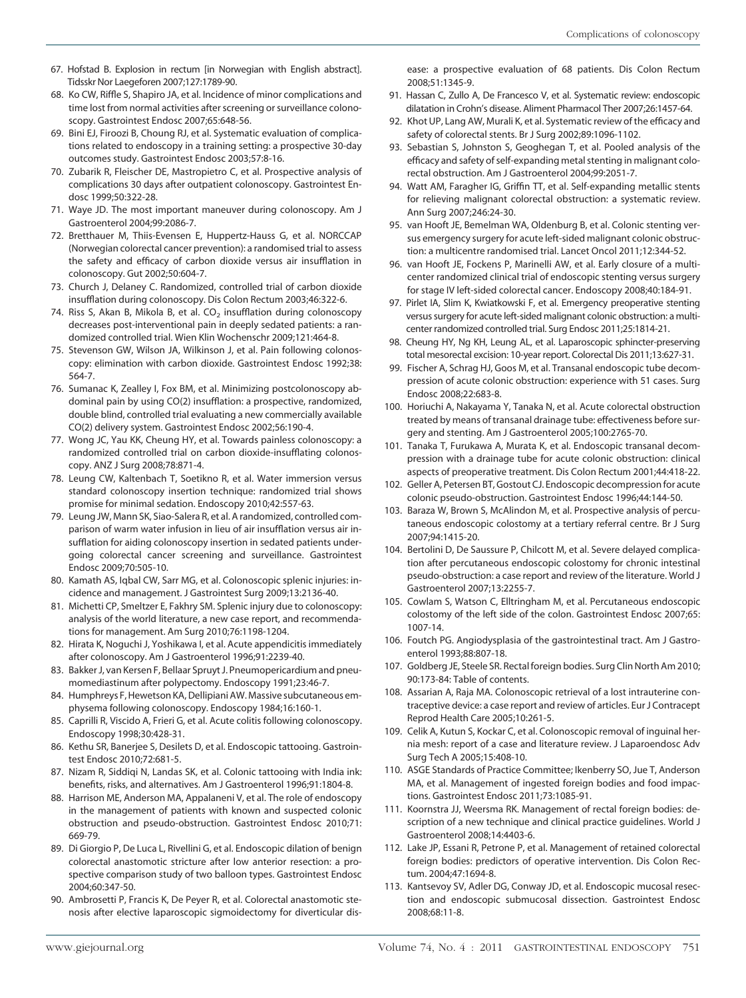- <span id="page-6-0"></span>67. Hofstad B. Explosion in rectum [in Norwegian with English abstract]. Tidsskr Nor Laegeforen 2007;127:1789-90.
- <span id="page-6-1"></span>68. Ko CW, Riffle S, Shapiro JA, et al. Incidence of minor complications and time lost from normal activities after screening or surveillance colonoscopy. Gastrointest Endosc 2007;65:648-56.
- 69. Bini EJ, Firoozi B, Choung RJ, et al. Systematic evaluation of complications related to endoscopy in a training setting: a prospective 30-day outcomes study. Gastrointest Endosc 2003;57:8-16.
- 70. Zubarik R, Fleischer DE, Mastropietro C, et al. Prospective analysis of complications 30 days after outpatient colonoscopy. Gastrointest Endosc 1999;50:322-28.
- <span id="page-6-2"></span>71. Waye JD. The most important maneuver during colonoscopy. Am J Gastroenterol 2004;99:2086-7.
- <span id="page-6-3"></span>72. Bretthauer M, Thiis-Evensen E, Huppertz-Hauss G, et al. NORCCAP (Norwegian colorectal cancer prevention): a randomised trial to assess the safety and efficacy of carbon dioxide versus air insufflation in colonoscopy. Gut 2002;50:604-7.
- 73. Church J, Delaney C. Randomized, controlled trial of carbon dioxide insufflation during colonoscopy. Dis Colon Rectum 2003;46:322-6.
- 74. Riss S, Akan B, Mikola B, et al.  $CO<sub>2</sub>$  insufflation during colonoscopy decreases post-interventional pain in deeply sedated patients: a randomized controlled trial. Wien Klin Wochenschr 2009;121:464-8.
- 75. Stevenson GW, Wilson JA, Wilkinson J, et al. Pain following colonoscopy: elimination with carbon dioxide. Gastrointest Endosc 1992;38: 564-7.
- 76. Sumanac K, Zealley I, Fox BM, et al. Minimizing postcolonoscopy abdominal pain by using CO(2) insufflation: a prospective, randomized, double blind, controlled trial evaluating a new commercially available CO(2) delivery system. Gastrointest Endosc 2002;56:190-4.
- 77. Wong JC, Yau KK, Cheung HY, et al. Towards painless colonoscopy: a randomized controlled trial on carbon dioxide-insufflating colonoscopy. ANZ J Surg 2008;78:871-4.
- <span id="page-6-4"></span>78. Leung CW, Kaltenbach T, Soetikno R, et al. Water immersion versus standard colonoscopy insertion technique: randomized trial shows promise for minimal sedation. Endoscopy 2010;42:557-63.
- 79. Leung JW, Mann SK, Siao-Salera R, et al. A randomized, controlled comparison of warm water infusion in lieu of air insufflation versus air insufflation for aiding colonoscopy insertion in sedated patients undergoing colorectal cancer screening and surveillance. Gastrointest Endosc 2009;70:505-10.
- <span id="page-6-5"></span>80. Kamath AS, Iqbal CW, Sarr MG, et al. Colonoscopic splenic injuries: incidence and management. J Gastrointest Surg 2009;13:2136-40.
- 81. Michetti CP, Smeltzer E, Fakhry SM. Splenic injury due to colonoscopy: analysis of the world literature, a new case report, and recommendations for management. Am Surg 2010;76:1198-1204.
- <span id="page-6-7"></span><span id="page-6-6"></span>82. Hirata K, Noguchi J, Yoshikawa I, et al. Acute appendicitis immediately after colonoscopy. Am J Gastroenterol 1996;91:2239-40.
- 83. Bakker J, van Kersen F, Bellaar Spruyt J. Pneumopericardium and pneumomediastinum after polypectomy. Endoscopy 1991;23:46-7.
- <span id="page-6-8"></span>84. Humphreys F, Hewetson KA, Dellipiani AW. Massive subcutaneous emphysema following colonoscopy. Endoscopy 1984;16:160-1.
- <span id="page-6-9"></span>85. Caprilli R, Viscido A, Frieri G, et al. Acute colitis following colonoscopy. Endoscopy 1998;30:428-31.
- <span id="page-6-10"></span>86. Kethu SR, Banerjee S, Desilets D, et al. Endoscopic tattooing. Gastrointest Endosc 2010;72:681-5.
- <span id="page-6-11"></span>87. Nizam R, Siddiqi N, Landas SK, et al. Colonic tattooing with India ink: benefits, risks, and alternatives. Am J Gastroenterol 1996;91:1804-8.
- 88. Harrison ME, Anderson MA, Appalaneni V, et al. The role of endoscopy in the management of patients with known and suspected colonic obstruction and pseudo-obstruction. Gastrointest Endosc 2010;71: 669-79.
- <span id="page-6-12"></span>89. Di Giorgio P, De Luca L, Rivellini G, et al. Endoscopic dilation of benign colorectal anastomotic stricture after low anterior resection: a prospective comparison study of two balloon types. Gastrointest Endosc 2004;60:347-50.
- 90. Ambrosetti P, Francis K, De Peyer R, et al. Colorectal anastomotic stenosis after elective laparoscopic sigmoidectomy for diverticular dis-

ease: a prospective evaluation of 68 patients. Dis Colon Rectum 2008;51:1345-9.

- <span id="page-6-13"></span>91. Hassan C, Zullo A, De Francesco V, et al. Systematic review: endoscopic dilatation in Crohn's disease. Aliment Pharmacol Ther 2007;26:1457-64.
- <span id="page-6-14"></span>92. Khot UP, Lang AW, Murali K, et al. Systematic review of the efficacy and safety of colorectal stents. Br J Surg 2002;89:1096-1102.
- 93. Sebastian S, Johnston S, Geoghegan T, et al. Pooled analysis of the efficacy and safety of self-expanding metal stenting in malignant colorectal obstruction. Am J Gastroenterol 2004;99:2051-7.
- 94. Watt AM, Faragher IG, Griffin TT, et al. Self-expanding metallic stents for relieving malignant colorectal obstruction: a systematic review. Ann Surg 2007;246:24-30.
- <span id="page-6-15"></span>95. van Hooft JE, Bemelman WA, Oldenburg B, et al. Colonic stenting versus emergency surgery for acute left-sided malignant colonic obstruction: a multicentre randomised trial. Lancet Oncol 2011;12:344-52.
- <span id="page-6-16"></span>96. van Hooft JE, Fockens P, Marinelli AW, et al. Early closure of a multicenter randomized clinical trial of endoscopic stenting versus surgery for stage IV left-sided colorectal cancer. Endoscopy 2008;40:184-91.
- <span id="page-6-17"></span>97. Pirlet IA, Slim K, Kwiatkowski F, et al. Emergency preoperative stenting versus surgery for acute left-sided malignant colonic obstruction: a multicenter randomized controlled trial. Surg Endosc 2011;25:1814-21.
- <span id="page-6-19"></span><span id="page-6-18"></span>98. Cheung HY, Ng KH, Leung AL, et al. Laparoscopic sphincter-preserving total mesorectal excision: 10-year report. Colorectal Dis 2011;13:627-31.
- 99. Fischer A, Schrag HJ, Goos M, et al. Transanal endoscopic tube decompression of acute colonic obstruction: experience with 51 cases. Surg Endosc 2008;22:683-8.
- 100. Horiuchi A, Nakayama Y, Tanaka N, et al. Acute colorectal obstruction treated by means of transanal drainage tube: effectiveness before surgery and stenting. Am J Gastroenterol 2005;100:2765-70.
- 101. Tanaka T, Furukawa A, Murata K, et al. Endoscopic transanal decompression with a drainage tube for acute colonic obstruction: clinical aspects of preoperative treatment. Dis Colon Rectum 2001;44:418-22.
- <span id="page-6-21"></span><span id="page-6-20"></span>102. Geller A, Petersen BT, Gostout CJ. Endoscopic decompression for acute colonic pseudo-obstruction. Gastrointest Endosc 1996;44:144-50.
- 103. Baraza W, Brown S, McAlindon M, et al. Prospective analysis of percutaneous endoscopic colostomy at a tertiary referral centre. Br J Surg 2007;94:1415-20.
- 104. Bertolini D, De Saussure P, Chilcott M, et al. Severe delayed complication after percutaneous endoscopic colostomy for chronic intestinal pseudo-obstruction: a case report and review of the literature. World J Gastroenterol 2007;13:2255-7.
- 105. Cowlam S, Watson C, Elltringham M, et al. Percutaneous endoscopic colostomy of the left side of the colon. Gastrointest Endosc 2007;65: 1007-14.
- <span id="page-6-23"></span><span id="page-6-22"></span>106. Foutch PG. Angiodysplasia of the gastrointestinal tract. Am J Gastroenterol 1993;88:807-18.
- <span id="page-6-24"></span>107. Goldberg JE, Steele SR. Rectal foreign bodies. Surg Clin North Am 2010; 90:173-84: Table of contents.
- 108. Assarian A, Raja MA. Colonoscopic retrieval of a lost intrauterine contraceptive device: a case report and review of articles. Eur J Contracept Reprod Health Care 2005;10:261-5.
- <span id="page-6-25"></span>109. Celik A, Kutun S, Kockar C, et al. Colonoscopic removal of inguinal hernia mesh: report of a case and literature review. J Laparoendosc Adv Surg Tech A 2005;15:408-10.
- <span id="page-6-26"></span>110. ASGE Standards of Practice Committee; Ikenberry SO, Jue T, Anderson MA, et al. Management of ingested foreign bodies and food impactions. Gastrointest Endosc 2011;73:1085-91.
- 111. Koornstra JJ, Weersma RK. Management of rectal foreign bodies: description of a new technique and clinical practice guidelines. World J Gastroenterol 2008;14:4403-6.
- <span id="page-6-27"></span>112. Lake JP, Essani R, Petrone P, et al. Management of retained colorectal foreign bodies: predictors of operative intervention. Dis Colon Rectum. 2004;47:1694-8.
- <span id="page-6-28"></span>113. Kantsevoy SV, Adler DG, Conway JD, et al. Endoscopic mucosal resection and endoscopic submucosal dissection. Gastrointest Endosc 2008;68:11-8.